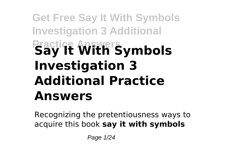# **Get Free Say It With Symbols Investigation 3 Additional Practice Answers Say It With Symbols Investigation 3 Additional Practice Answers**

Recognizing the pretentiousness ways to acquire this book **say it with symbols**

Page 1/24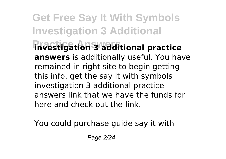**Get Free Say It With Symbols Investigation 3 Additional Practice Answers investigation 3 additional practice answers** is additionally useful. You have remained in right site to begin getting this info. get the say it with symbols investigation 3 additional practice answers link that we have the funds for here and check out the link.

You could purchase guide say it with

Page 2/24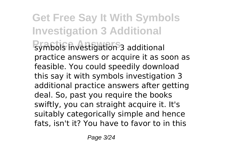**Get Free Say It With Symbols Investigation 3 Additional Practice Answers** symbols investigation 3 additional practice answers or acquire it as soon as feasible. You could speedily download this say it with symbols investigation 3 additional practice answers after getting deal. So, past you require the books swiftly, you can straight acquire it. It's suitably categorically simple and hence fats, isn't it? You have to favor to in this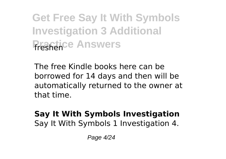**Get Free Say It With Symbols Investigation 3 Additional Practice Answers** 

The free Kindle books here can be borrowed for 14 days and then will be automatically returned to the owner at that time.

#### **Say It With Symbols Investigation** Say It With Symbols 1 Investigation 4.

Page 4/24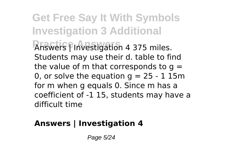**Get Free Say It With Symbols Investigation 3 Additional Panswers Pinvestigation 4 375 miles.** Students may use their d. table to find the value of m that corresponds to  $q =$ 0, or solve the equation  $g = 25 - 1$  15m for m when g equals 0. Since m has a coefficient of -1 15, students may have a difficult time

#### **Answers | Investigation 4**

Page 5/24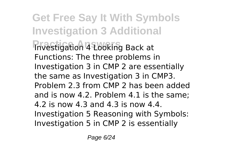**Get Free Say It With Symbols Investigation 3 Additional Practice Answers** Investigation 4 Looking Back at Functions: The three problems in Investigation 3 in CMP 2 are essentially the same as Investigation 3 in CMP3. Problem 2.3 from CMP 2 has been added and is now 4.2. Problem 4.1 is the same; 4.2 is now 4.3 and 4.3 is now 4.4. Investigation 5 Reasoning with Symbols: Investigation 5 in CMP 2 is essentially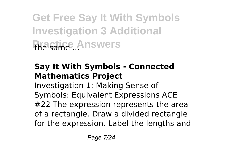**Get Free Say It With Symbols Investigation 3 Additional** *Practice Answers* 

#### **Say It With Symbols - Connected Mathematics Project**

Investigation 1: Making Sense of Symbols: Equivalent Expressions ACE #22 The expression represents the area of a rectangle. Draw a divided rectangle for the expression. Label the lengths and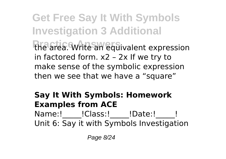**Get Free Say It With Symbols Investigation 3 Additional Practice Answers** the area. Write an equivalent expression in factored form. x2 – 2x If we try to make sense of the symbolic expression then we see that we have a "square"

#### **Say It With Symbols: Homework Examples from ACE**

Name:! !Class:! !Date:! ! Unit 6: Say it with Symbols Investigation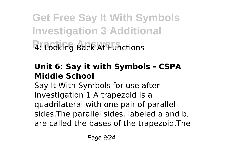**Get Free Say It With Symbols Investigation 3 Additional Practice Answers** 4: Looking Back At Functions

#### **Unit 6: Say it with Symbols - CSPA Middle School**

Say It With Symbols for use after Investigation 1 A trapezoid is a quadrilateral with one pair of parallel sides.The parallel sides, labeled a and b, are called the bases of the trapezoid.The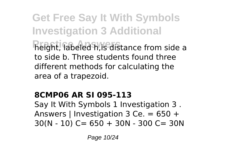**Get Free Say It With Symbols Investigation 3 Additional Practice Answers** height, labeled h,is distance from side a to side b. Three students found three different methods for calculating the area of a trapezoid.

#### **8CMP06 AR SI 095-113**

Say It With Symbols 1 Investigation 3 . Answers | Investigation 3 Ce. = 650 +  $30(N - 10)$  C= 650 + 30N - 300 C= 30N

Page 10/24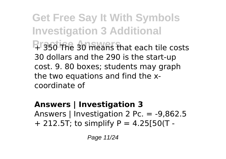**Get Free Say It With Symbols Investigation 3 Additional Praso The 30 means that each tile costs** 30 dollars and the 290 is the start-up cost. 9. 80 boxes; students may graph the two equations and find the xcoordinate of

**Answers | Investigation 3** Answers | Investigation 2 Pc. = -9,862.5  $+$  212.5T; to simplify P = 4.25[50(T -

Page 11/24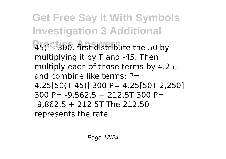**Get Free Say It With Symbols Investigation 3 Additional Practice Answers** 45)] - 300, first distribute the 50 by multiplying it by T and -45. Then multiply each of those terms by 4.25, and combine like terms: P= 4.25[50(T-45)] 300 P= 4.25[50T-2,250] 300 P= -9,562.5 + 212.5T 300 P= -9,862.5 + 212.5T The 212.50 represents the rate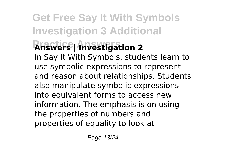## **Get Free Say It With Symbols Investigation 3 Additional Practice Answers Answers | Investigation 2**

In Say It With Symbols, students learn to use symbolic expressions to represent and reason about relationships. Students also manipulate symbolic expressions into equivalent forms to access new information. The emphasis is on using the properties of numbers and properties of equality to look at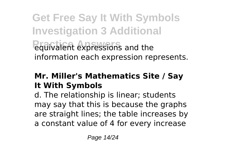**Get Free Say It With Symbols Investigation 3 Additional Practice Answers** equivalent expressions and the information each expression represents.

#### **Mr. Miller's Mathematics Site / Say It With Symbols**

d. The relationship is linear; students may say that this is because the graphs are straight lines; the table increases by a constant value of 4 for every increase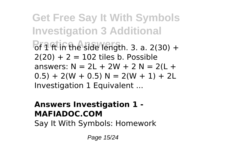**Get Free Say It With Symbols Investigation 3 Additional Practice Answerships** of 1 ft in the side length. 3. a. 2(30) +  $2(20) + 2 = 102$  tiles b. Possible answers:  $N = 2L + 2W + 2N = 2(L +$  $(0.5) + 2(W + 0.5) N = 2(W + 1) + 2L$ Investigation 1 Equivalent ...

#### **Answers Investigation 1 - MAFIADOC.COM**

Say It With Symbols: Homework

Page 15/24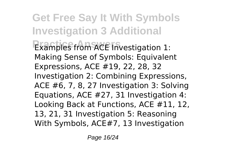**Get Free Say It With Symbols Investigation 3 Additional Examples from ACE Investigation 1:** Making Sense of Symbols: Equivalent Expressions, ACE #19, 22, 28, 32 Investigation 2: Combining Expressions, ACE #6, 7, 8, 27 Investigation 3: Solving Equations, ACE #27, 31 Investigation 4: Looking Back at Functions, ACE #11, 12, 13, 21, 31 Investigation 5: Reasoning With Symbols, ACE#7, 13 Investigation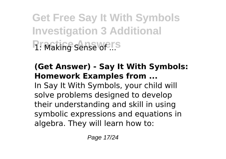**Get Free Say It With Symbols Investigation 3 Additional P: Making Sense of ...** 

#### **(Get Answer) - Say It With Symbols: Homework Examples from ...**

In Say It With Symbols, your child will solve problems designed to develop their understanding and skill in using symbolic expressions and equations in algebra. They will learn how to: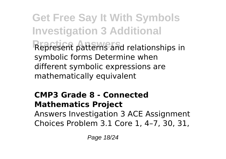**Get Free Say It With Symbols Investigation 3 Additional Practice Answers** Represent patterns and relationships in symbolic forms Determine when different symbolic expressions are mathematically equivalent

### **CMP3 Grade 8 - Connected Mathematics Project**

Answers Investigation 3 ACE Assignment Choices Problem 3.1 Core 1, 4–7, 30, 31,

Page 18/24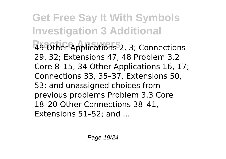**Get Free Say It With Symbols Investigation 3 Additional Practice Answers** 49 Other Applications 2, 3; Connections 29, 32; Extensions 47, 48 Problem 3.2 Core 8–15, 34 Other Applications 16, 17; Connections 33, 35–37, Extensions 50, 53; and unassigned choices from previous problems Problem 3.3 Core 18–20 Other Connections 38–41, Extensions 51–52; and ...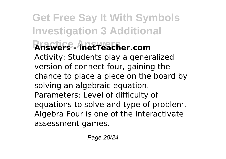**Get Free Say It With Symbols Investigation 3 Additional Practice Answers Answers - inetTeacher.com** Activity: Students play a generalized version of connect four, gaining the chance to place a piece on the board by solving an algebraic equation. Parameters: Level of difficulty of equations to solve and type of problem. Algebra Four is one of the Interactivate assessment games.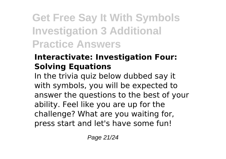## **Get Free Say It With Symbols Investigation 3 Additional Practice Answers**

#### **Interactivate: Investigation Four: Solving Equations**

In the trivia quiz below dubbed say it with symbols, you will be expected to answer the questions to the best of your ability. Feel like you are up for the challenge? What are you waiting for, press start and let's have some fun!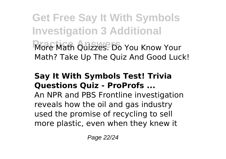**Get Free Say It With Symbols Investigation 3 Additional Profe Math Quizzes. Do You Know Your** Math? Take Up The Quiz And Good Luck!

#### **Say It With Symbols Test! Trivia Questions Quiz - ProProfs ...**

An NPR and PBS Frontline investigation reveals how the oil and gas industry used the promise of recycling to sell more plastic, even when they knew it

Page 22/24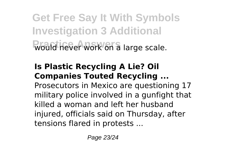**Get Free Say It With Symbols Investigation 3 Additional Would hever work on a large scale.** 

#### **Is Plastic Recycling A Lie? Oil Companies Touted Recycling ...**

Prosecutors in Mexico are questioning 17 military police involved in a gunfight that killed a woman and left her husband injured, officials said on Thursday, after tensions flared in protests ...